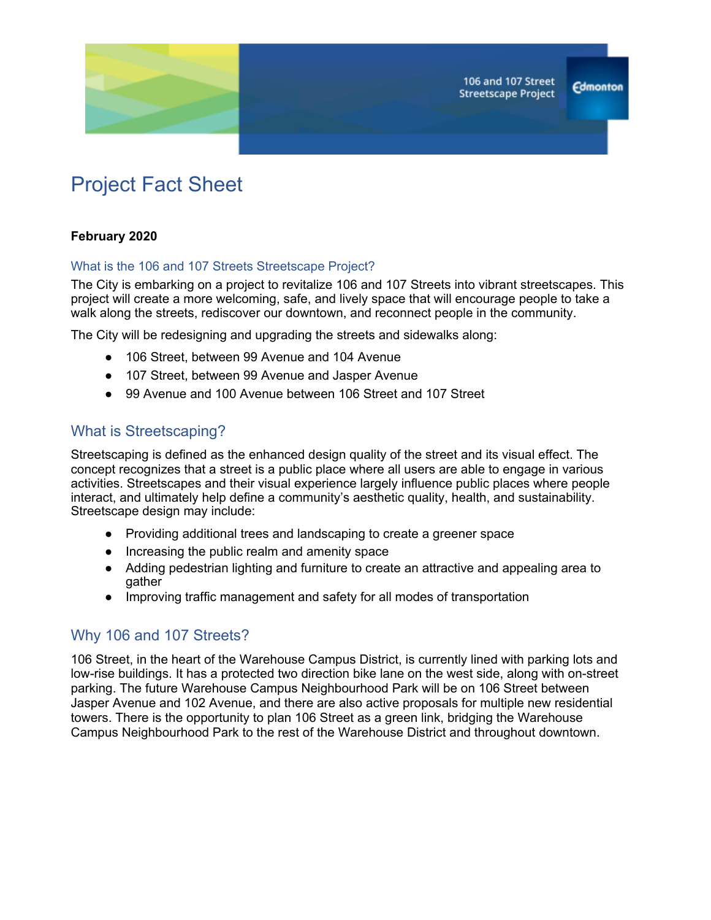

# Project Fact Sheet

#### **February 2020**

#### What is the 106 and 107 Streets Streetscape Project?

The City is embarking on a project to revitalize 106 and 107 Streets into vibrant streetscapes. This project will create a more welcoming, safe, and lively space that will encourage people to take a walk along the streets, rediscover our downtown, and reconnect people in the community.

The City will be redesigning and upgrading the streets and sidewalks along:

- 106 Street, between 99 Avenue and 104 Avenue
- 107 Street, between 99 Avenue and Jasper Avenue
- 99 Avenue and 100 Avenue between 106 Street and 107 Street

## What is Streetscaping?

Streetscaping is defined as the enhanced design quality of the street and its visual effect. The concept recognizes that a street is a public place where all users are able to engage in various activities. Streetscapes and their visual experience largely influence public places where people interact, and ultimately help define a community's aesthetic quality, health, and sustainability. Streetscape design may include:

- Providing additional trees and landscaping to create a greener space
- Increasing the public realm and amenity space
- Adding pedestrian lighting and furniture to create an attractive and appealing area to gather
- Improving traffic management and safety for all modes of transportation

## Why 106 and 107 Streets?

106 Street, in the heart of the Warehouse Campus District, is currently lined with parking lots and low-rise buildings. It has a protected two direction bike lane on the west side, along with on-street parking. The future Warehouse Campus Neighbourhood Park will be on 106 Street between Jasper Avenue and 102 Avenue, and there are also active proposals for multiple new residential towers. There is the opportunity to plan 106 Street as a green link, bridging the Warehouse Campus Neighbourhood Park to the rest of the Warehouse District and throughout downtown.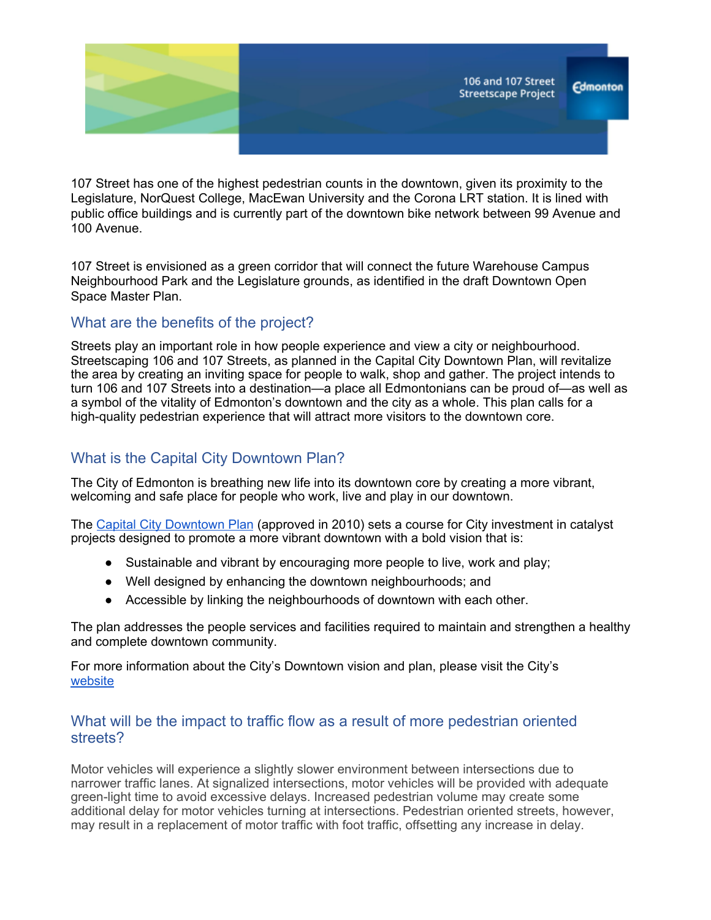

107 Street has one of the highest pedestrian counts in the downtown, given its proximity to the Legislature, NorQuest College, MacEwan University and the Corona LRT station. It is lined with public office buildings and is currently part of the downtown bike network between 99 Avenue and 100 Avenue.

107 Street is envisioned as a green corridor that will connect the future Warehouse Campus Neighbourhood Park and the Legislature grounds, as identified in the draft Downtown Open Space Master Plan.

# What are the benefits of the project?

Streets play an important role in how people experience and view a city or neighbourhood. Streetscaping 106 and 107 Streets, as planned in the Capital City Downtown Plan, will revitalize the area by creating an inviting space for people to walk, shop and gather. The project intends to turn 106 and 107 Streets into a destination—a place all Edmontonians can be proud of—as well as a symbol of the vitality of Edmonton's downtown and the city as a whole. This plan calls for a high-quality pedestrian experience that will attract more visitors to the downtown core.

# What is the Capital City Downtown Plan?

The City of Edmonton is breathing new life into its downtown core by creating a more vibrant, welcoming and safe place for people who work, live and play in our downtown.

The Capital City [Downtown](https://www.edmonton.ca/projects_plans/downtown/capital-city-downtown-plan.aspx) Pla[n](https://www.edmonton.ca/projects_plans/downtown/capital-city-downtown-plan.aspx) (approved in 2010) sets a course for City investment in catalyst projects designed to promote a more vibrant downtown with a bold vision that is:

- Sustainable and vibrant by encouraging more people to live, work and play;
- Well designed by enhancing the downtown neighbourhoods; and
- Accessible by linking the neighbourhoods of downtown with each other.

The plan addresses the people services and facilities required to maintain and strengthen a healthy and complete downtown community.

For more information about the City's Downtown vision and plan, please visit the City's [website](https://www.edmonton.ca/projects_plans/downtown.aspx)

## What will be the impact to traffic flow as a result of more pedestrian oriented streets?

Motor vehicles will experience a slightly slower environment between intersections due to narrower traffic lanes. At signalized intersections, motor vehicles will be provided with adequate green-light time to avoid excessive delays. Increased pedestrian volume may create some additional delay for motor vehicles turning at intersections. Pedestrian oriented streets, however, may result in a replacement of motor traffic with foot traffic, offsetting any increase in delay.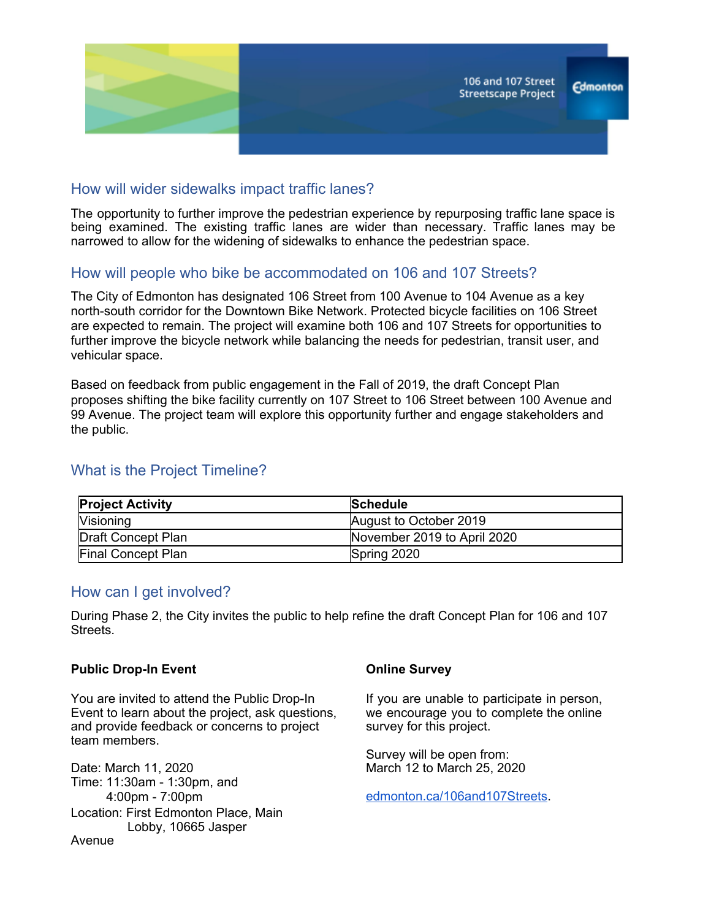

## How will wider sidewalks impact traffic lanes?

The opportunity to further improve the pedestrian experience by repurposing traffic lane space is being examined. The existing traffic lanes are wider than necessary. Traffic lanes may be narrowed to allow for the widening of sidewalks to enhance the pedestrian space.

# How will people who bike be accommodated on 106 and 107 Streets?

The City of Edmonton has designated 106 Street from 100 Avenue to 104 Avenue as a key north-south corridor for the Downtown Bike Network. Protected bicycle facilities on 106 Street are expected to remain. The project will examine both 106 and 107 Streets for opportunities to further improve the bicycle network while balancing the needs for pedestrian, transit user, and vehicular space.

Based on feedback from public engagement in the Fall of 2019, the draft Concept Plan proposes shifting the bike facility currently on 107 Street to 106 Street between 100 Avenue and 99 Avenue. The project team will explore this opportunity further and engage stakeholders and the public.

# What is the Project Timeline?

| <b>Project Activity</b> | <b>Schedule</b>             |
|-------------------------|-----------------------------|
| <b>Visioning</b>        | August to October 2019      |
| Draft Concept Plan      | November 2019 to April 2020 |
| Final Concept Plan      | Spring 2020                 |

## How can I get involved?

During Phase 2, the City invites the public to help refine the draft Concept Plan for 106 and 107 Streets.

#### **Public Drop-In Event**

You are invited to attend the Public Drop-In Event to learn about the project, ask questions, and provide feedback or concerns to project team members.

Date: March 11, 2020 Time: 11:30am - 1:30pm, and 4:00pm - 7:00pm Location: First Edmonton Place, Main Lobby, 10665 Jasper Avenue

#### **Online Survey**

If you are unable to participate in person, we encourage you to complete the online survey for this project.

Survey will be open from: March 12 to March 25, 2020

[edmonton.ca/106and107Streets.](https://www.edmonton.ca/106and107streets)